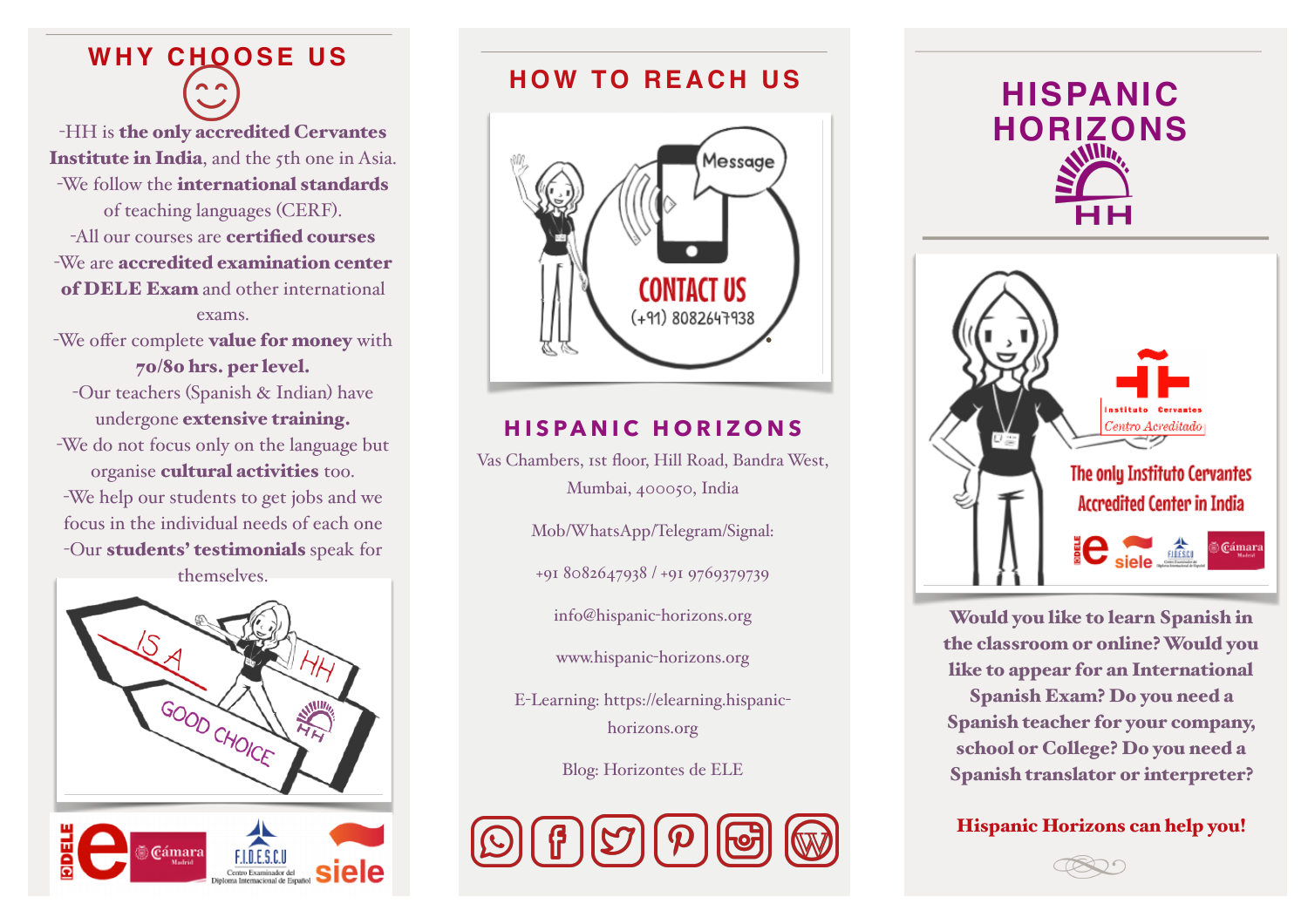# **WHY CHOOSE US**

-HH is the only accredited Cervantes Institute in India, and the 5th one in Asia. -We follow the international standards of teaching languages (CERF). -All our courses are certified courses -We are accredited examination center of DELE Exam and other international exams.

-We offer complete **value for money** with 70/80 hrs. per level.

-Our teachers (Spanish & Indian) have undergone extensive training. -We do not focus only on the language but organise cultural activities too. -We help our students to get jobs and we focus in the individual needs of each one -Our students' testimonials speak for

themselves.





## **HOW TO REACH US**



### **HISPANIC HORIZONS**

Vas Chambers, 1st floor, Hill Road, Bandra West, Mumbai, 400050, India

Mob/WhatsApp/Telegram/Signal:

+91 8082647938 / +91 9769379739

[info@hispanic](mailto:info@hispanic-horizons.org)-horizons.org

[www.hispanic](http://www.hispanic-horizons.org)-horizons.org

E-Learning: [https://elearning.hispanic](https://elearning.hispanic-horizons.org)[horizons.org](https://elearning.hispanic-horizons.org) 

Blog: Horizontes de ELE







Would you like to learn Spanish in the classroom or online? Would you like to appear for an International Spanish Exam? Do you need a Spanish teacher for your company, school or College? Do you need a Spanish translator or interpreter?

Hispanic Horizons can help you!